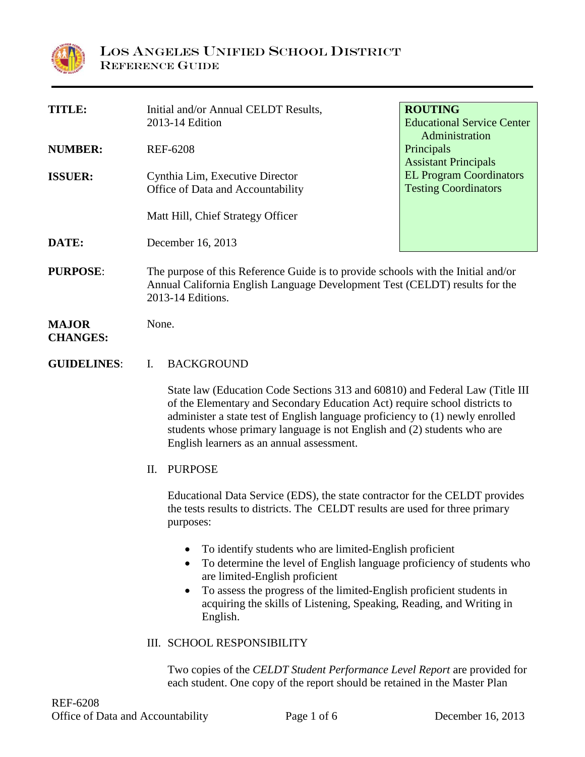

| <b>TITLE:</b>      |                                                                                   | Initial and/or Annual CELDT Results,                                                                                                                       | <b>ROUTING</b>                    |  |  |  |
|--------------------|-----------------------------------------------------------------------------------|------------------------------------------------------------------------------------------------------------------------------------------------------------|-----------------------------------|--|--|--|
|                    |                                                                                   | 2013-14 Edition                                                                                                                                            | <b>Educational Service Center</b> |  |  |  |
| <b>NUMBER:</b>     |                                                                                   | <b>REF-6208</b>                                                                                                                                            | Administration<br>Principals      |  |  |  |
|                    |                                                                                   |                                                                                                                                                            | <b>Assistant Principals</b>       |  |  |  |
| <b>ISSUER:</b>     |                                                                                   | Cynthia Lim, Executive Director                                                                                                                            | <b>EL Program Coordinators</b>    |  |  |  |
|                    |                                                                                   | Office of Data and Accountability                                                                                                                          | <b>Testing Coordinators</b>       |  |  |  |
|                    |                                                                                   |                                                                                                                                                            |                                   |  |  |  |
|                    |                                                                                   | Matt Hill, Chief Strategy Officer                                                                                                                          |                                   |  |  |  |
| DATE:              |                                                                                   | December 16, 2013                                                                                                                                          |                                   |  |  |  |
|                    |                                                                                   |                                                                                                                                                            |                                   |  |  |  |
| <b>PURPOSE:</b>    | The purpose of this Reference Guide is to provide schools with the Initial and/or |                                                                                                                                                            |                                   |  |  |  |
|                    | Annual California English Language Development Test (CELDT) results for the       |                                                                                                                                                            |                                   |  |  |  |
|                    |                                                                                   | 2013-14 Editions.                                                                                                                                          |                                   |  |  |  |
| <b>MAJOR</b>       |                                                                                   | None.                                                                                                                                                      |                                   |  |  |  |
| <b>CHANGES:</b>    |                                                                                   |                                                                                                                                                            |                                   |  |  |  |
|                    |                                                                                   |                                                                                                                                                            |                                   |  |  |  |
| <b>GUIDELINES:</b> | $\mathbf{I}$ .                                                                    | <b>BACKGROUND</b>                                                                                                                                          |                                   |  |  |  |
|                    |                                                                                   |                                                                                                                                                            |                                   |  |  |  |
|                    |                                                                                   | State law (Education Code Sections 313 and 60810) and Federal Law (Title III<br>of the Elementary and Secondary Education Act) require school districts to |                                   |  |  |  |
|                    |                                                                                   | administer a state test of English language proficiency to (1) newly enrolled                                                                              |                                   |  |  |  |
|                    |                                                                                   | students whose primary language is not English and (2) students who are                                                                                    |                                   |  |  |  |
|                    |                                                                                   | English learners as an annual assessment.                                                                                                                  |                                   |  |  |  |
|                    | П.                                                                                | <b>PURPOSE</b>                                                                                                                                             |                                   |  |  |  |
|                    |                                                                                   |                                                                                                                                                            |                                   |  |  |  |

Educational Data Service (EDS), the state contractor for the CELDT provides the tests results to districts. The CELDT results are used for three primary purposes:

- To identify students who are limited-English proficient
- To determine the level of English language proficiency of students who are limited-English proficient
- To assess the progress of the limited-English proficient students in acquiring the skills of Listening, Speaking, Reading, and Writing in English.
- III. SCHOOL RESPONSIBILITY

Two copies of the *CELDT Student Performance Level Report* are provided for each student. One copy of the report should be retained in the Master Plan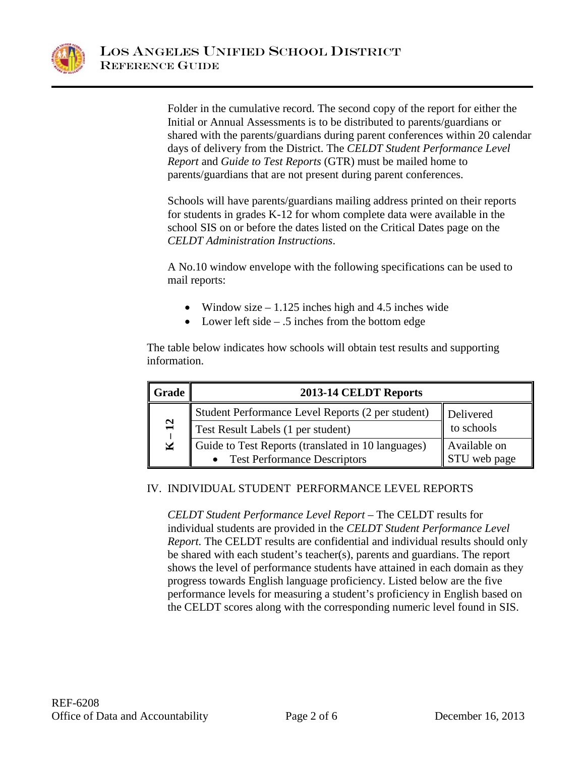

Folder in the cumulative record. The second copy of the report for either the Initial or Annual Assessments is to be distributed to parents/guardians or shared with the parents/guardians during parent conferences within 20 calendar days of delivery from the District. The *CELDT Student Performance Level Report* and *Guide to Test Reports* (GTR) must be mailed home to parents/guardians that are not present during parent conferences.

Schools will have parents/guardians mailing address printed on their reports for students in grades K-12 for whom complete data were available in the school SIS on or before the dates listed on the Critical Dates page on the *CELDT Administration Instructions*.

A No.10 window envelope with the following specifications can be used to mail reports:

- Window size  $-1.125$  inches high and 4.5 inches wide
- Lower left side .5 inches from the bottom edge

The table below indicates how schools will obtain test results and supporting information.

| Grade                             | 2013-14 CELDT Reports                                                                |                                                         |  |  |  |
|-----------------------------------|--------------------------------------------------------------------------------------|---------------------------------------------------------|--|--|--|
| $\overline{12}$<br>$\blacksquare$ | Student Performance Level Reports (2 per student)                                    | Delivered<br>to schools<br>Available on<br>STU web page |  |  |  |
|                                   | Test Result Labels (1 per student)                                                   |                                                         |  |  |  |
|                                   | Guide to Test Reports (translated in 10 languages)<br>• Test Performance Descriptors |                                                         |  |  |  |
|                                   |                                                                                      |                                                         |  |  |  |

### IV. INDIVIDUAL STUDENT PERFORMANCE LEVEL REPORTS

*CELDT Student Performance Level Report* – The CELDT results for individual students are provided in the *CELDT Student Performance Level Report.* The CELDT results are confidential and individual results should only be shared with each student's teacher(s), parents and guardians. The report shows the level of performance students have attained in each domain as they progress towards English language proficiency. Listed below are the five performance levels for measuring a student's proficiency in English based on the CELDT scores along with the corresponding numeric level found in SIS.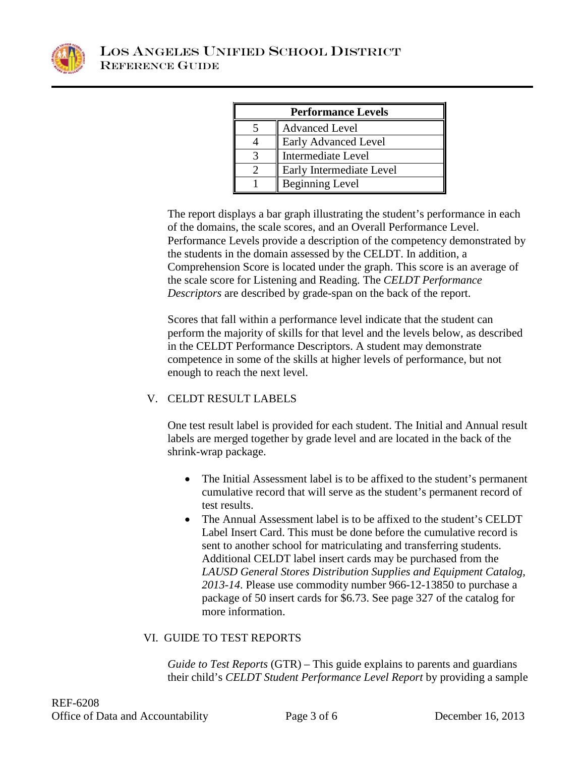

| <b>Performance Levels</b> |                           |  |  |  |
|---------------------------|---------------------------|--|--|--|
|                           | <b>Advanced Level</b>     |  |  |  |
|                           | Early Advanced Level      |  |  |  |
|                           | <b>Intermediate Level</b> |  |  |  |
|                           | Early Intermediate Level  |  |  |  |
|                           | <b>Beginning Level</b>    |  |  |  |

The report displays a bar graph illustrating the student's performance in each of the domains, the scale scores, and an Overall Performance Level. Performance Levels provide a description of the competency demonstrated by the students in the domain assessed by the CELDT. In addition, a Comprehension Score is located under the graph. This score is an average of the scale score for Listening and Reading. The *CELDT Performance Descriptors* are described by grade-span on the back of the report.

Scores that fall within a performance level indicate that the student can perform the majority of skills for that level and the levels below, as described in the CELDT Performance Descriptors. A student may demonstrate competence in some of the skills at higher levels of performance, but not enough to reach the next level.

# V. CELDT RESULT LABELS

One test result label is provided for each student. The Initial and Annual result labels are merged together by grade level and are located in the back of the shrink-wrap package.

- The Initial Assessment label is to be affixed to the student's permanent cumulative record that will serve as the student's permanent record of test results.
- The Annual Assessment label is to be affixed to the student's CELDT Label Insert Card. This must be done before the cumulative record is sent to another school for matriculating and transferring students. Additional CELDT label insert cards may be purchased from the *LAUSD General Stores Distribution Supplies and Equipment Catalog, 2013-14*. Please use commodity number 966-12-13850 to purchase a package of 50 insert cards for \$6.73. See page 327 of the catalog for more information.

### VI. GUIDE TO TEST REPORTS

*Guide to Test Reports* (GTR) – This guide explains to parents and guardians their child's *CELDT Student Performance Level Report* by providing a sample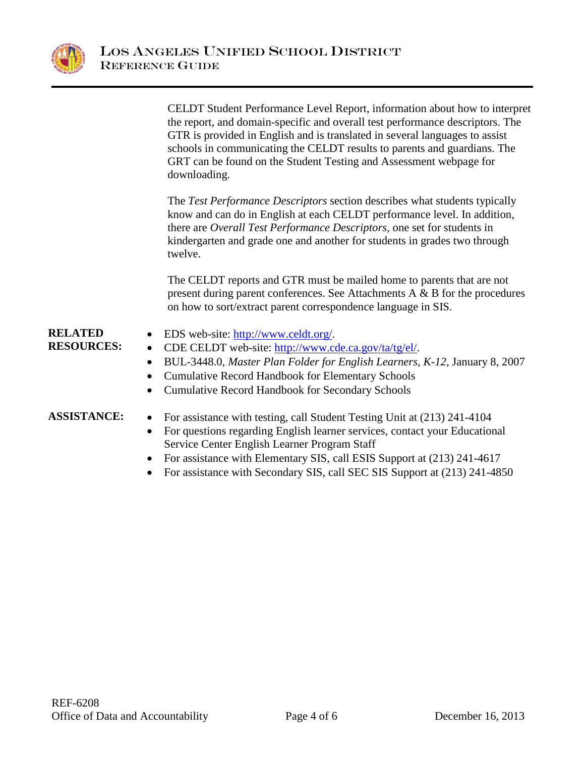

|                                     | CELDT Student Performance Level Report, information about how to interpret<br>the report, and domain-specific and overall test performance descriptors. The<br>GTR is provided in English and is translated in several languages to assist<br>schools in communicating the CELDT results to parents and guardians. The<br>GRT can be found on the Student Testing and Assessment webpage for<br>downloading. |
|-------------------------------------|--------------------------------------------------------------------------------------------------------------------------------------------------------------------------------------------------------------------------------------------------------------------------------------------------------------------------------------------------------------------------------------------------------------|
|                                     | The Test Performance Descriptors section describes what students typically<br>know and can do in English at each CELDT performance level. In addition,<br>there are Overall Test Performance Descriptors, one set for students in<br>kindergarten and grade one and another for students in grades two through<br>twelve.                                                                                    |
|                                     | The CELDT reports and GTR must be mailed home to parents that are not<br>present during parent conferences. See Attachments $A \& B$ for the procedures<br>on how to sort/extract parent correspondence language in SIS.                                                                                                                                                                                     |
| <b>RELATED</b><br><b>RESOURCES:</b> | EDS web-site: http://www.celdt.org/.<br>CDE CELDT web-site: http://www.cde.ca.gov/ta/tg/el/.<br>$\bullet$<br>BUL-3448.0, Master Plan Folder for English Learners, K-12, January 8, 2007<br>$\bullet$<br><b>Cumulative Record Handbook for Elementary Schools</b><br>$\bullet$<br><b>Cumulative Record Handbook for Secondary Schools</b><br>$\bullet$                                                        |
| <b>ASSISTANCE:</b>                  | For assistance with testing, call Student Testing Unit at (213) 241-4104<br>$\bullet$<br>For questions regarding English learner services, contact your Educational<br>$\bullet$<br>Service Center English Learner Program Staff<br>For assistance with Elementary SIS, call ESIS Support at (213) 241-4617                                                                                                  |

• For assistance with Secondary SIS, call SEC SIS Support at (213) 241-4850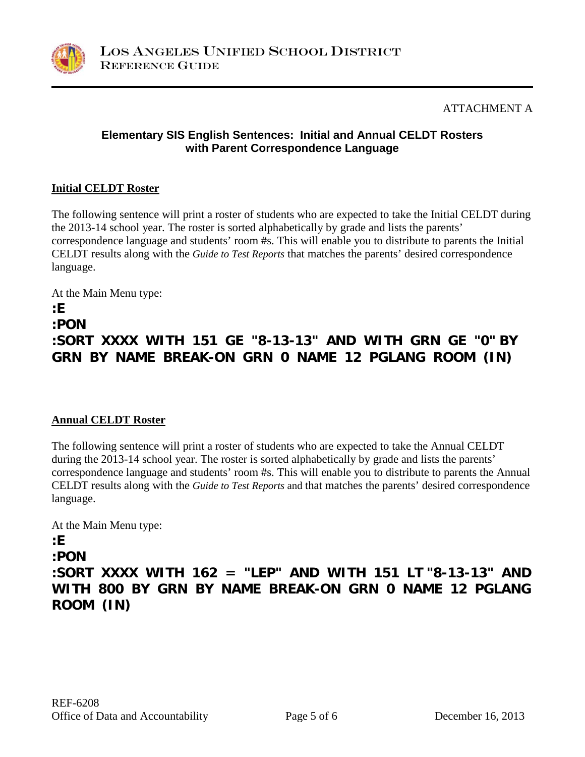

## ATTACHMENT A

### **Elementary SIS English Sentences: Initial and Annual CELDT Rosters with Parent Correspondence Language**

#### **Initial CELDT Roster**

The following sentence will print a roster of students who are expected to take the Initial CELDT during the 2013-14 school year. The roster is sorted alphabetically by grade and lists the parents' correspondence language and students' room #s. This will enable you to distribute to parents the Initial CELDT results along with the *Guide to Test Reports* that matches the parents' desired correspondence language.

At the Main Menu type: **:E :PON**

# **:SORT XXXX WITH 151 GE "8-13-13" AND WITH GRN GE "0" BY GRN BY NAME BREAK-ON GRN 0 NAME 12 PGLANG ROOM (IN)**

### **Annual CELDT Roster**

The following sentence will print a roster of students who are expected to take the Annual CELDT during the 2013-14 school year. The roster is sorted alphabetically by grade and lists the parents' correspondence language and students' room #s. This will enable you to distribute to parents the Annual CELDT results along with the *Guide to Test Reports* and that matches the parents' desired correspondence language.

At the Main Menu type:

### **:E**

**:PON**

**:SORT XXXX WITH 162 = "LEP" AND WITH 151 LT "8-13-13" AND WITH 800 BY GRN BY NAME BREAK-ON GRN 0 NAME 12 PGLANG ROOM (IN)**